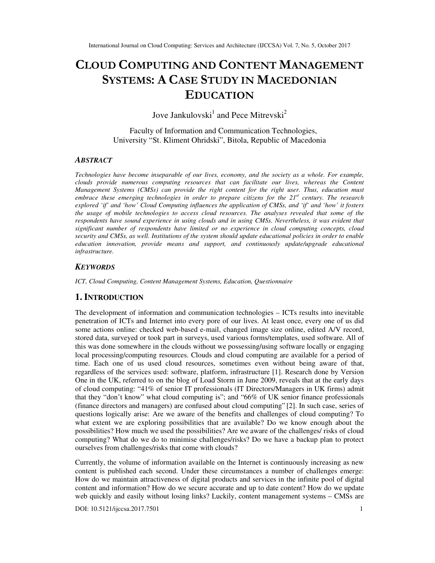# **CLOUD COMPUTING AND CONTENT MANAGEMENT SYSTEMS: A CASE STUDY IN MACEDONIAN EDUCATION**

Jove Jankulovski<sup>1</sup> and Pece Mitrevski<sup>2</sup>

Faculty of Information and Communication Technologies, University "St. Kliment Ohridski", Bitola, Republic of Macedonia

## *ABSTRACT*

*Technologies have become inseparable of our lives, economy, and the society as a whole. For example, clouds provide numerous computing resources that can facilitate our lives, whereas the Content Management Systems (CMSs) can provide the right content for the right user. Thus, education must embrace these emerging technologies in order to prepare citizens for the 21st century. The research explored 'if' and 'how' Cloud Computing influences the application of CMSs, and 'if' and 'how' it fosters the usage of mobile technologies to access cloud resources. The analyses revealed that some of the respondents have sound experience in using clouds and in using CMSs. Nevertheless, it was evident that significant number of respondents have limited or no experience in cloud computing concepts, cloud security and CMSs, as well. Institutions of the system should update educational policies in order to enable education innovation, provide means and support, and continuously update/upgrade educational infrastructure.* 

#### *KEYWORDS*

*ICT, Cloud Computing, Content Management Systems, Education, Questionnaire* 

## **1. INTRODUCTION**

The development of information and communication technologies – ICTs results into inevitable penetration of ICTs and Internet into every pore of our lives. At least once, every one of us did some actions online: checked web-based e-mail, changed image size online, edited A/V record, stored data, surveyed or took part in surveys, used various forms/templates, used software. All of this was done somewhere in the clouds without we possessing/using software locally or engaging local processing/computing resources. Clouds and cloud computing are available for a period of time. Each one of us used cloud resources, sometimes even without being aware of that, regardless of the services used: software, platform, infrastructure [1]. Research done by Version One in the UK, referred to on the blog of Load Storm in June 2009, reveals that at the early days of cloud computing: "41% of senior IT professionals (IT Directors/Managers in UK firms) admit that they "don't know" what cloud computing is"; and "66% of UK senior finance professionals (finance directors and managers) are confused about cloud computing" [2]. In such case, series of questions logically arise: Are we aware of the benefits and challenges of cloud computing? To what extent we are exploring possibilities that are available? Do we know enough about the possibilities? How much we used the possibilities? Are we aware of the challenges/ risks of cloud computing? What do we do to minimise challenges/risks? Do we have a backup plan to protect ourselves from challenges/risks that come with clouds?

Currently, the volume of information available on the Internet is continuously increasing as new content is published each second. Under these circumstances a number of challenges emerge: How do we maintain attractiveness of digital products and services in the infinite pool of digital content and information? How do we secure accurate and up to date content? How do we update web quickly and easily without losing links? Luckily, content management systems – CMSs are

DOI: 10.5121/ijccsa.2017.7501 1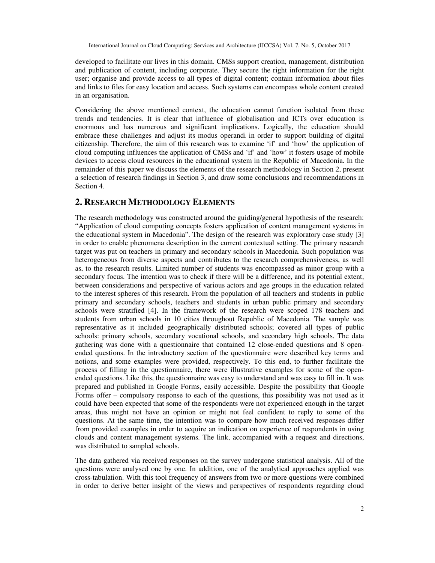developed to facilitate our lives in this domain. CMSs support creation, management, distribution and publication of content, including corporate. They secure the right information for the right user; organise and provide access to all types of digital content; contain information about files and links to files for easy location and access. Such systems can encompass whole content created in an organisation.

Considering the above mentioned context, the education cannot function isolated from these trends and tendencies. It is clear that influence of globalisation and ICTs over education is enormous and has numerous and significant implications. Logically, the education should embrace these challenges and adjust its modus operandi in order to support building of digital citizenship. Therefore, the aim of this research was to examine 'if' and 'how' the application of cloud computing influences the application of CMSs and 'if' and 'how' it fosters usage of mobile devices to access cloud resources in the educational system in the Republic of Macedonia. In the remainder of this paper we discuss the elements of the research methodology in Section 2, present a selection of research findings in Section 3, and draw some conclusions and recommendations in Section 4.

## **2. RESEARCH METHODOLOGY ELEMENTS**

The research methodology was constructed around the guiding/general hypothesis of the research: "Application of cloud computing concepts fosters application of content management systems in the educational system in Macedonia". The design of the research was exploratory case study [3] in order to enable phenomena description in the current contextual setting. The primary research target was put on teachers in primary and secondary schools in Macedonia. Such population was heterogeneous from diverse aspects and contributes to the research comprehensiveness, as well as, to the research results. Limited number of students was encompassed as minor group with a secondary focus. The intention was to check if there will be a difference, and its potential extent, between considerations and perspective of various actors and age groups in the education related to the interest spheres of this research. From the population of all teachers and students in public primary and secondary schools, teachers and students in urban public primary and secondary schools were stratified [4]. In the framework of the research were scoped 178 teachers and students from urban schools in 10 cities throughout Republic of Macedonia. The sample was representative as it included geographically distributed schools; covered all types of public schools: primary schools, secondary vocational schools, and secondary high schools. The data gathering was done with a questionnaire that contained 12 close-ended questions and 8 openended questions. In the introductory section of the questionnaire were described key terms and notions, and some examples were provided, respectively. To this end, to further facilitate the process of filling in the questionnaire, there were illustrative examples for some of the openended questions. Like this, the questionnaire was easy to understand and was easy to fill in. It was prepared and published in Google Forms, easily accessible. Despite the possibility that Google Forms offer – compulsory response to each of the questions, this possibility was not used as it could have been expected that some of the respondents were not experienced enough in the target areas, thus might not have an opinion or might not feel confident to reply to some of the questions. At the same time, the intention was to compare how much received responses differ from provided examples in order to acquire an indication on experience of respondents in using clouds and content management systems. The link, accompanied with a request and directions, was distributed to sampled schools.

The data gathered via received responses on the survey undergone statistical analysis. All of the questions were analysed one by one. In addition, one of the analytical approaches applied was cross-tabulation. With this tool frequency of answers from two or more questions were combined in order to derive better insight of the views and perspectives of respondents regarding cloud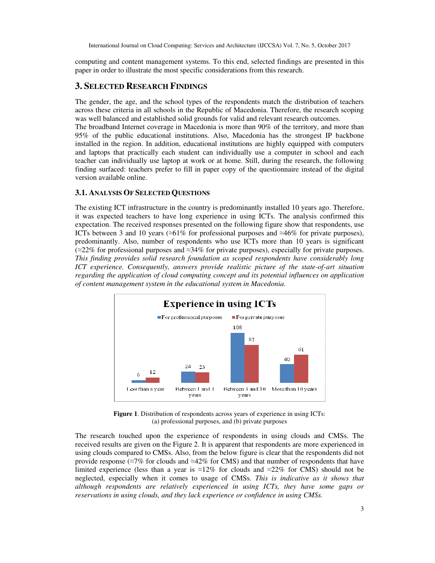computing and content management systems. To this end, selected findings are presented in this paper in order to illustrate the most specific considerations from this research.

## **3. SELECTED RESEARCH FINDINGS**

The gender, the age, and the school types of the respondents match the distribution of teachers across these criteria in all schools in the Republic of Macedonia. Therefore, the research scoping was well balanced and established solid grounds for valid and relevant research outcomes.

The broadband Internet coverage in Macedonia is more than 90% of the territory, and more than 95% of the public educational institutions. Also, Macedonia has the strongest IP backbone installed in the region. In addition, educational institutions are highly equipped with computers and laptops that practically each student can individually use a computer in school and each teacher can individually use laptop at work or at home. Still, during the research, the following finding surfaced: teachers prefer to fill in paper copy of the questionnaire instead of the digital version available online.

## **3.1. ANALYSIS OF SELECTED QUESTIONS**

The existing ICT infrastructure in the country is predominantly installed 10 years ago. Therefore, it was expected teachers to have long experience in using ICTs. The analysis confirmed this expectation. The received responses presented on the following figure show that respondents, use ICTs between 3 and 10 years (≈61% for professional purposes and ≈46% for private purposes), predominantly. Also, number of respondents who use ICTs more than 10 years is significant (≈22% for professional purposes and ≈34% for private purposes), especially for private purposes. *This finding provides solid research foundation as scoped respondents have considerably long ICT experience. Consequently, answers provide realistic picture of the state-of-art situation regarding the application of cloud computing concept and its potential influences on application of content management system in the educational system in Macedonia.*



**Figure 1**. Distribution of respondents across years of experience in using ICTs: (a) professional purposes, and (b) private purposes

The research touched upon the experience of respondents in using clouds and CMSs. The received results are given on the Figure 2. It is apparent that respondents are more experienced in using clouds compared to CMSs. Also, from the below figure is clear that the respondents did not provide response (≈7% for clouds and ≈42% for CMS) and that number of respondents that have limited experience (less than a year is ≈12% for clouds and ≈22% for CMS) should not be neglected, especially when it comes to usage of CMSs. *This is indicative as it shows that although respondents are relatively experienced in using ICTs, they have some gaps or reservations in using clouds, and they lack experience or confidence in using CMSs.*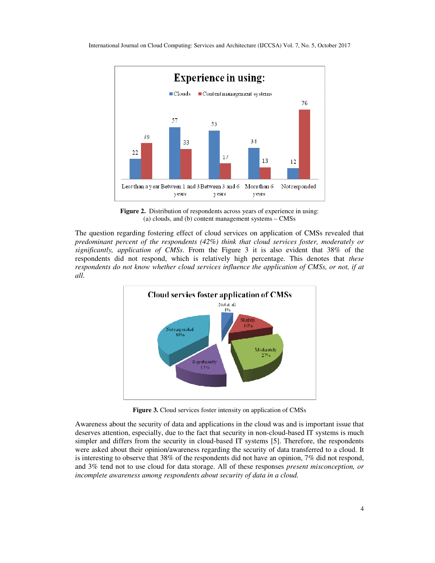

**Figure 2.** Distribution of respondents across years of experience in using: (a) clouds, and (b) content management systems – CMSs

The question regarding fostering effect of cloud services on application of CMSs revealed that *predominant percent of the respondents (42%) think that cloud services foster, moderately or significantly, application of CMSs*. From the Figure 3 it is also evident that 38% of the respondents did not respond, which is relatively high percentage. This denotes that *these respondents do not know whether cloud services influence the application of CMSs, or not, if at all.* 



**Figure 3.** Cloud services foster intensity on application of CMSs

Awareness about the security of data and applications in the cloud was and is important issue that deserves attention, especially, due to the fact that security in non-cloud-based IT systems is much simpler and differs from the security in cloud-based IT systems [5]. Therefore, the respondents were asked about their opinion/awareness regarding the security of data transferred to a cloud. It is interesting to observe that 38% of the respondents did not have an opinion, 7% did not respond, and 3% tend not to use cloud for data storage. All of these responses *present misconception, or incomplete awareness among respondents about security of data in a cloud.*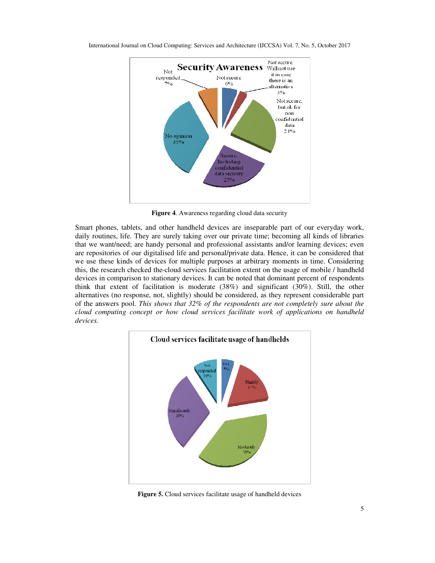

**Figure 4**. Awareness regarding cloud data security

Smart phones, tablets, and other handheld devices are inseparable part of our everyday work, daily routines, life. They are surely taking over our private time; becoming all kinds of libraries that we want/need; are handy personal and professional assistants and/or learning devices; even are repositories of our digitalised life and personal/private data. Hence, it can be considered that we use these kinds of devices for multiple purposes at arbitrary moments in time. Considering this, the research checked the cloud services facilitation extent on the usage of mobile / handheld devices in comparison to stationary devices. It can be noted that dominant percent of respondents think that extent of facilitation is moderate (38%) and significant (30%). Still, the other alternatives (no response, not, slightly) should be considered, as they represent considerable part of the answers pool. *This shows that 32% of the respondents are not completely sure about the cloud computing concept or how cloud services facilitate work of applications on handheld devices.*



**Figure 5.** Cloud services facilitate usage of handheld devices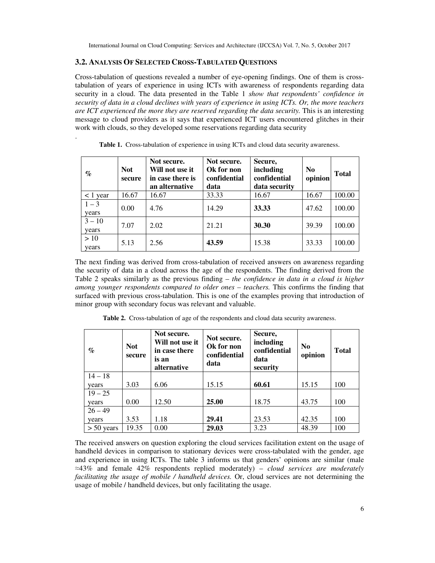#### **3.2. ANALYSIS OF SELECTED CROSS-TABULATED QUESTIONS**

.

Cross-tabulation of questions revealed a number of eye-opening findings. One of them is crosstabulation of years of experience in using ICTs with awareness of respondents regarding data security in a cloud. The data presented in the Table 1 *show that respondents' confidence in security of data in a cloud declines with years of experience in using ICTs. Or, the more teachers are ICT experienced the more they are reserved regarding the data security.* This is an interesting message to cloud providers as it says that experienced ICT users encountered glitches in their work with clouds, so they developed some reservations regarding data security

| $\%$              | <b>Not</b><br>secure | Not secure.<br>Will not use it<br>in case there is<br>an alternative | Not secure.<br>Ok for non<br>confidential<br>data | Secure,<br>including<br>confidential<br>data security | N <sub>0</sub><br>opinion | <b>Total</b> |
|-------------------|----------------------|----------------------------------------------------------------------|---------------------------------------------------|-------------------------------------------------------|---------------------------|--------------|
| $<$ 1 year        | 16.67                | 16.67                                                                | 33.33                                             | 16.67                                                 | 16.67                     | 100.00       |
| $1 - 3$<br>years  | 0.00                 | 4.76                                                                 | 14.29                                             | 33.33                                                 | 47.62                     | 100.00       |
| $3 - 10$<br>years | 7.07                 | 2.02                                                                 | 21.21                                             | 30.30                                                 | 39.39                     | 100.00       |
| >10<br>years      | 5.13                 | 2.56                                                                 | 43.59                                             | 15.38                                                 | 33.33                     | 100.00       |

**Table 1.** Cross-tabulation of experience in using ICTs and cloud data security awareness.

The next finding was derived from cross-tabulation of received answers on awareness regarding the security of data in a cloud across the age of the respondents. The finding derived from the Table 2 speaks similarly as the previous finding – *the confidence in data in a cloud is higher among younger respondents compared to older ones – teachers.* This confirms the finding that surfaced with previous cross-tabulation. This is one of the examples proving that introduction of minor group with secondary focus was relevant and valuable.

**Table 2.** Cross-tabulation of age of the respondents and cloud data security awareness.

| $\%$         | <b>Not</b><br>secure | Not secure.<br>Will not use it<br>in case there<br>is an<br>alternative | Secure,<br>Not secure.<br>including<br>Ok for non<br>confidential<br>confidential<br>data<br>data<br>security |       | N <sub>0</sub><br>opinion | <b>Total</b> |
|--------------|----------------------|-------------------------------------------------------------------------|---------------------------------------------------------------------------------------------------------------|-------|---------------------------|--------------|
| $14 - 18$    |                      |                                                                         |                                                                                                               |       |                           |              |
| years        | 3.03                 | 6.06                                                                    | 15.15                                                                                                         | 60.61 | 15.15                     | 100          |
| $19 - 25$    |                      |                                                                         |                                                                                                               |       |                           |              |
| years        | 0.00                 | 12.50                                                                   | 25.00                                                                                                         | 18.75 | 43.75                     | 100          |
| $26 - 49$    |                      |                                                                         |                                                                                                               |       |                           |              |
| years        | 3.53                 | 1.18                                                                    | 29.41                                                                                                         | 23.53 | 42.35                     | 100          |
| $> 50$ years | 19.35                | 0.00                                                                    | 29.03                                                                                                         | 3.23  | 48.39                     | 100          |

The received answers on question exploring the cloud services facilitation extent on the usage of handheld devices in comparison to stationary devices were cross-tabulated with the gender, age and experience in using ICTs. The table 3 informs us that genders' opinions are similar (male ≈43% and female 42% respondents replied moderately) – *cloud services are moderately facilitating the usage of mobile / handheld devices.* Or, cloud services are not determining the usage of mobile / handheld devices, but only facilitating the usage.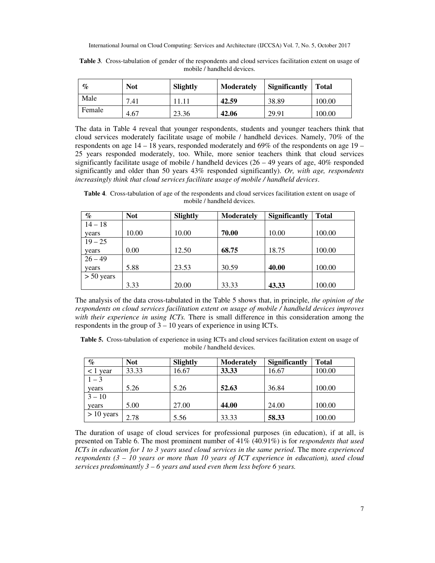| $\mathcal{C}_{\mathcal{L}}$ | <b>Not</b> | Slightly | <b>Moderately</b> | <b>Significantly</b> | <b>Total</b> |
|-----------------------------|------------|----------|-------------------|----------------------|--------------|
| Male                        | 7.41       |          | 42.59             | 38.89                | 100.00       |
| Female                      | 4.67       | 23.36    | 42.06             | 29.91                | 100.00       |

**Table 3**. Cross-tabulation of gender of the respondents and cloud services facilitation extent on usage of mobile / handheld devices.

The data in Table 4 reveal that younger respondents, students and younger teachers think that cloud services moderately facilitate usage of mobile / handheld devices. Namely, 70% of the respondents on age  $14 - 18$  years, responded moderately and  $69\%$  of the respondents on age  $19 -$ 25 years responded moderately, too. While, more senior teachers think that cloud services significantly facilitate usage of mobile / handheld devices  $(26 - 49)$  years of age,  $40\%$  responded significantly and older than 50 years 43% responded significantly). *Or, with age, respondents increasingly think that cloud services facilitate usage of mobile / handheld devices*.

**Table 4**. Cross-tabulation of age of the respondents and cloud services facilitation extent on usage of mobile / handheld devices.

| $\%$         | <b>Not</b> | Slightly | <b>Moderately</b> | <b>Significantly</b> | <b>Total</b> |  |
|--------------|------------|----------|-------------------|----------------------|--------------|--|
| $14 - 18$    |            |          |                   |                      |              |  |
| years        | 10.00      | 10.00    | 70.00             | 10.00                | 100.00       |  |
| $19 - 25$    |            |          |                   |                      |              |  |
| years        | 0.00       | 12.50    | 68.75             | 18.75                | 100.00       |  |
| $26 - 49$    |            |          |                   |                      |              |  |
| years        | 5.88       | 23.53    | 30.59             | 40.00                | 100.00       |  |
| $> 50$ years |            |          |                   |                      |              |  |
|              | 3.33       | 20.00    | 33.33             | 43.33                | 100.00       |  |

The analysis of the data cross-tabulated in the Table 5 shows that, in principle, *the opinion of the respondents on cloud services facilitation extent on usage of mobile / handheld devices improves with their experience in using ICTs.* There is small difference in this consideration among the respondents in the group of  $3 - 10$  years of experience in using ICTs.

**Table 5.** Cross-tabulation of experience in using ICTs and cloud services facilitation extent on usage of mobile / handheld devices.

| $\%$         | <b>Not</b> | Slightly | <b>Moderately</b> | <b>Significantly</b> | <b>Total</b> |
|--------------|------------|----------|-------------------|----------------------|--------------|
| year         | 33.33      | 16.67    | 33.33             | 16.67                | 100.00       |
| $1 - 3$      |            |          |                   |                      |              |
| years        | 5.26       | 5.26     | 52.63             | 36.84                | 100.00       |
| $3 - 10$     |            |          |                   |                      |              |
| years        | 5.00       | 27.00    | 44.00             | 24.00                | 100.00       |
| $> 10$ years | 2.78       | 5.56     | 33.33             | 58.33                | 100.00       |

The duration of usage of cloud services for professional purposes (in education), if at all, is presented on Table 6. The most prominent number of 41% (40.91%) is for *respondents that used ICTs in education for 1 to 3 years used cloud services in the same period*. The more *experienced respondents (3 – 10 years or more than 10 years of ICT experience in education), used cloud services predominantly 3 – 6 years and used even them less before 6 years.*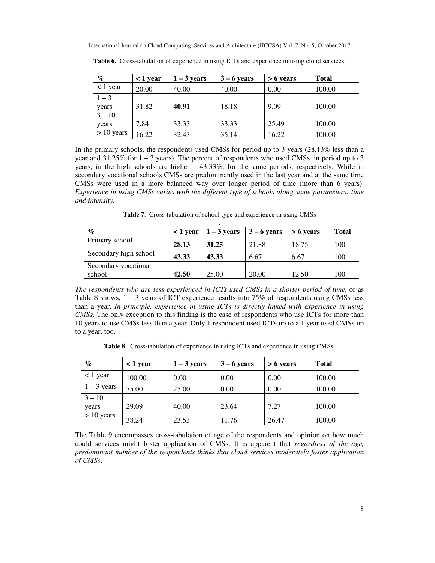| $\%$         | $<$ 1 year | $1 - 3$ years | $3 - 6$ years | $> 6$ years | <b>Total</b> |
|--------------|------------|---------------|---------------|-------------|--------------|
| $< 1$ year   | 20.00      | 40.00         | 40.00         | 0.00        | 100.00       |
| $1 - 3$      |            |               |               |             |              |
| years        | 31.82      | 40.91         | 18.18         | 9.09        | 100.00       |
| $3 - 10$     |            |               |               |             |              |
| years        | 7.84       | 33.33         | 33.33         | 25.49       | 100.00       |
| $> 10$ years | 16.22      | 32.43         | 35.14         | 16.22       | 100.00       |

**Table 6.** Cross-tabulation of experience in using ICTs and experience in using cloud services.

In the primary schools, the respondents used CMSs for period up to 3 years (28.13% less than a year and  $31.25\%$  for  $1 - 3$  years). The percent of respondents who used CMSs, in period up to 3 years, in the high schools are higher – 43.33%, for the same periods, respectively. While in secondary vocational schools CMSs are predominantly used in the last year and at the same time CMSs were used in a more balanced way over longer period of time (more than 6 years). *Experience in using CMSs varies with the different type of schools along same parameters: time and intensity.* 

**Table 7**. Cross-tabulation of school type and experience in using CMSs

| $\%$                  | $<$ 1 year | $1 - 3$ years | $3 - 6$ years | $> 6$ years | <b>Total</b> |
|-----------------------|------------|---------------|---------------|-------------|--------------|
| Primary school        | 28.13      | 31.25         | 21.88         | 18.75       | 100          |
| Secondary high school | 43.33      | 43.33         | 6.67          | 6.67        | 100          |
| Secondary vocational  |            |               |               |             |              |
| school                | 42.50      | 25.00         | 20.00         | 12.50       | 100          |

*The respondents who are less experienced in ICTs used CMSs in a shorter period of time*, or as Table 8 shows,  $1 - 3$  years of ICT experience results into 75% of respondents using CMSs less than a year. *In principle, experience in using ICTs is directly linked with experience in using CMSs.* The only exception to this finding is the case of respondents who use ICTs for more than 10 years to use CMSs less than a year. Only 1 respondent used ICTs up to a 1 year used CMSs up to a year, too.

**Table 8**. Cross-tabulation of experience in using ICTs and experience in using CMSs.

| $\%$          | $<$ 1 year | $1 - 3$ years | $3 - 6$ years | $> 6$ years | <b>Total</b> |
|---------------|------------|---------------|---------------|-------------|--------------|
| $<$ 1 year    | 100.00     | 0.00          | 0.00          | 0.00        | 100.00       |
| $1 - 3$ years | 75.00      | 25.00         | 0.00          | 0.00        | 100.00       |
| $3 - 10$      |            |               |               |             |              |
| years         | 29.09      | 40.00         | 23.64         | 7.27        | 100.00       |
| $> 10$ years  | 38.24      | 23.53         | 11.76         | 26.47       | 100.00       |

The Table 9 encompasses cross-tabulation of age of the respondents and opinion on how much could services might foster application of CMSs. It is apparent that *regardless of the age, predominant number of the respondents thinks that cloud services moderately foster application of CMSs*.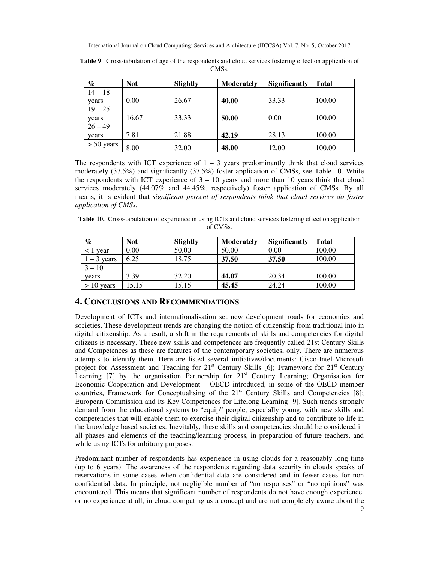| $\%$         | <b>Not</b> | <b>Slightly</b> | <b>Moderately</b> | <b>Significantly</b> | <b>Total</b> |
|--------------|------------|-----------------|-------------------|----------------------|--------------|
| $14 - 18$    |            |                 |                   |                      |              |
| years        | 0.00       | 26.67           | 40.00             | 33.33                | 100.00       |
| $19 - 25$    |            |                 |                   |                      |              |
| years        | 16.67      | 33.33           | 50.00             | 0.00                 | 100.00       |
| $26 - 49$    |            |                 |                   |                      |              |
| years        | 7.81       | 21.88           | 42.19             | 28.13                | 100.00       |
| $> 50$ years | 8.00       | 32.00           | 48.00             | 12.00                | 100.00       |

**Table 9**. Cross-tabulation of age of the respondents and cloud services fostering effect on application of CMSs.

The respondents with ICT experience of  $1 - 3$  years predominantly think that cloud services moderately (37.5%) and significantly (37.5%) foster application of CMSs, see Table 10. While the respondents with ICT experience of  $3 - 10$  years and more than 10 years think that cloud services moderately (44.07% and 44.45%, respectively) foster application of CMSs. By all means, it is evident that *significant percent of respondents think that cloud services do foster application of CMSs*.

**Table 10.** Cross-tabulation of experience in using ICTs and cloud services fostering effect on application of CMSs.

| $\%$                     | <b>Not</b> | Slightly | <b>Moderately</b> | <b>Significantly</b> | <b>Total</b> |
|--------------------------|------------|----------|-------------------|----------------------|--------------|
| $\langle 1 \rangle$ vear | 0.00       | 50.00    | 50.00             | 0.00                 | 100.00       |
| $1 - 3$ years            | 6.25       | 18.75    | 37.50             | 37.50                | 100.00       |
| $3 - 10$                 |            |          |                   |                      |              |
| years                    | 3.39       | 32.20    | 44.07             | 20.34                | 100.00       |
| $> 10$ years             | 15.15      | 15.15    | 45.45             | 24.24                | 100.00       |

## **4. CONCLUSIONS AND RECOMMENDATIONS**

Development of ICTs and internationalisation set new development roads for economies and societies. These development trends are changing the notion of citizenship from traditional into in digital citizenship. As a result, a shift in the requirements of skills and competencies for digital citizens is necessary. These new skills and competences are frequently called 21st Century Skills and Competences as these are features of the contemporary societies, only. There are numerous attempts to identify them. Here are listed several initiatives/documents: Cisco-Intel-Microsoft project for Assessment and Teaching for  $21<sup>st</sup>$  Century Skills [6]; Framework for  $21<sup>st</sup>$  Century Learning  $[7]$  by the organisation Partnership for  $21<sup>st</sup>$  Century Learning; Organisation for Economic Cooperation and Development – OECD introduced, in some of the OECD member countries, Framework for Conceptualising of the  $21<sup>st</sup>$  Century Skills and Competencies [8]; European Commission and its Key Competences for Lifelong Learning [9]. Such trends strongly demand from the educational systems to "equip" people, especially young, with new skills and competencies that will enable them to exercise their digital citizenship and to contribute to life in the knowledge based societies. Inevitably, these skills and competencies should be considered in all phases and elements of the teaching/learning process, in preparation of future teachers, and while using ICTs for arbitrary purposes.

Predominant number of respondents has experience in using clouds for a reasonably long time (up to 6 years). The awareness of the respondents regarding data security in clouds speaks of reservations in some cases when confidential data are considered and in fewer cases for non confidential data. In principle, not negligible number of "no responses" or "no opinions" was encountered. This means that significant number of respondents do not have enough experience, or no experience at all, in cloud computing as a concept and are not completely aware about the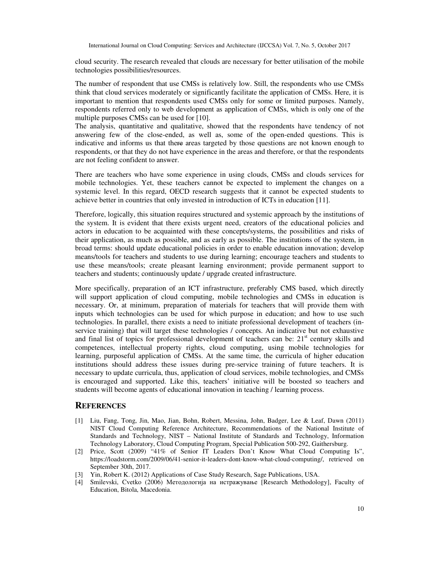cloud security. The research revealed that clouds are necessary for better utilisation of the mobile technologies possibilities/resources.

The number of respondent that use CMSs is relatively low. Still, the respondents who use CMSs think that cloud services moderately or significantly facilitate the application of CMSs. Here, it is important to mention that respondents used CMSs only for some or limited purposes. Namely, respondents referred only to web development as application of CMSs, which is only one of the multiple purposes CMSs can be used for [10].

The analysis, quantitative and qualitative, showed that the respondents have tendency of not answering few of the close-ended, as well as, some of the open-ended questions. This is indicative and informs us that there areas targeted by those questions are not known enough to respondents, or that they do not have experience in the areas and therefore, or that the respondents are not feeling confident to answer.

There are teachers who have some experience in using clouds, CMSs and clouds services for mobile technologies. Yet, these teachers cannot be expected to implement the changes on a systemic level. In this regard, OECD research suggests that it cannot be expected students to achieve better in countries that only invested in introduction of ICTs in education [11].

Therefore, logically, this situation requires structured and systemic approach by the institutions of the system. It is evident that there exists urgent need, creators of the educational policies and actors in education to be acquainted with these concepts/systems, the possibilities and risks of their application, as much as possible, and as early as possible. The institutions of the system, in broad terms: should update educational policies in order to enable education innovation; develop means/tools for teachers and students to use during learning; encourage teachers and students to use these means/tools; create pleasant learning environment; provide permanent support to teachers and students; continuously update / upgrade created infrastructure.

More specifically, preparation of an ICT infrastructure, preferably CMS based, which directly will support application of cloud computing, mobile technologies and CMSs in education is necessary. Or, at minimum, preparation of materials for teachers that will provide them with inputs which technologies can be used for which purpose in education; and how to use such technologies. In parallel, there exists a need to initiate professional development of teachers (inservice training) that will target these technologies / concepts. An indicative but not exhaustive and final list of topics for professional development of teachers can be:  $21<sup>st</sup>$  century skills and competences, intellectual property rights, cloud computing, using mobile technologies for learning, purposeful application of CMSs. At the same time, the curricula of higher education institutions should address these issues during pre-service training of future teachers. It is necessary to update curricula, thus, application of cloud services, mobile technologies, and CMSs is encouraged and supported. Like this, teachers' initiative will be boosted so teachers and students will become agents of educational innovation in teaching / learning process.

#### **REFERENCES**

- [1] Liu, Fang, Tong, Jin, Mao, Jian, Bohn, Robert, Messina, John, Badger, Lee & Leaf, Dawn (2011) NIST Cloud Computing Reference Architecture, Recommendations of the National Institute of Standards and Technology, NIST – National Institute of Standards and Technology, Information Technology Laboratory, Cloud Computing Program, Special Publication 500-292, Gaithersburg.
- [2] Price, Scott (2009) "41% of Senior IT Leaders Don't Know What Cloud Computing Is", https://loadstorm.com/2009/06/41-senior-it-leaders-dont-know-what-cloud-computing/, retrieved on September 30th, 2017.
- [3] Yin, Robert K. (2012) Applications of Case Study Research, Sage Publications, USA.
- [4] Smilevski, Cvetko (2006) Методологија на истражување [Research Methodology], Faculty of Education, Bitola, Macedonia.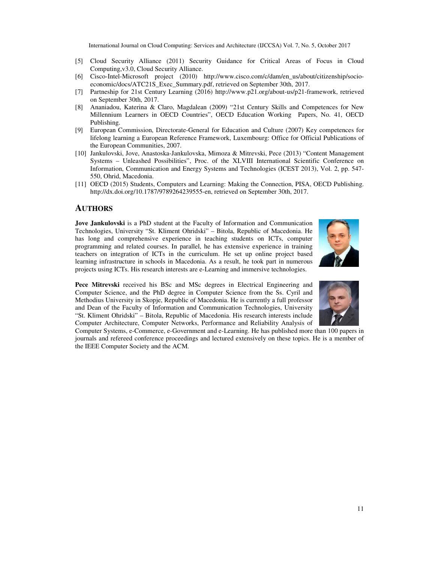- [5] Cloud Security Alliance (2011) Security Guidance for Critical Areas of Focus in Cloud Computing,v3.0, Cloud Security Alliance.
- [6] Cisco-Intel-Microsoft project (2010) http://www.cisco.com/c/dam/en\_us/about/citizenship/socioeconomic/docs/ATC21S\_Exec\_Summary.pdf, retrieved on September 30th, 2017.
- [7] Partneship for 21st Century Learning (2016) http://www.p21.org/about-us/p21-framework, retrieved on September 30th, 2017.
- [8] Ananiadou, Katerina & Claro, Magdalean (2009) "21st Century Skills and Competences for New Millennium Learners in OECD Countries", OECD Education Working Papers, No. 41, OECD Publishing.
- [9] European Commission, Directorate-General for Education and Culture (2007) Key competences for lifelong learning a European Reference Framework, Luxembourg: Office for Official Publications of the European Communities, 2007.
- [10] Jankulovski, Jove, Anastoska-Jankulovska, Mimoza & Mitrevski, Pece (2013) "Content Management Systems – Unleashed Possibilities", Proc. of the XLVIII International Scientific Conference on Information, Communication and Energy Systems and Technologies (ICEST 2013), Vol. 2, pp. 547- 550, Ohrid, Macedonia.
- [11] OECD (2015) Students, Computers and Learning: Making the Connection, PISA, OECD Publishing. http://dx.doi.org/10.1787/9789264239555-en, retrieved on September 30th, 2017.

#### **AUTHORS**

**Jove Jankulovski** is a PhD student at the Faculty of Information and Communication Technologies, University "St. Kliment Ohridski" – Bitola, Republic of Macedonia. He has long and comprehensive experience in teaching students on ICTs, computer programming and related courses. In parallel, he has extensive experience in training teachers on integration of ICTs in the curriculum. He set up online project based learning infrastructure in schools in Macedonia. As a result, he took part in numerous projects using ICTs. His research interests are e-Learning and immersive technologies.



**Pece Mitrevski** received his BSc and MSc degrees in Electrical Engineering and Computer Science, and the PhD degree in Computer Science from the Ss. Cyril and Methodius University in Skopje, Republic of Macedonia. He is currently a full professor and Dean of the Faculty of Information and Communication Technologies, University "St. Kliment Ohridski" – Bitola, Republic of Macedonia. His research interests include Computer Architecture, Computer Networks, Performance and Reliability Analysis of



Computer Systems, e-Commerce, e-Government and e-Learning. He has published more than 100 papers in journals and refereed conference proceedings and lectured extensively on these topics. He is a member of the IEEE Computer Society and the ACM.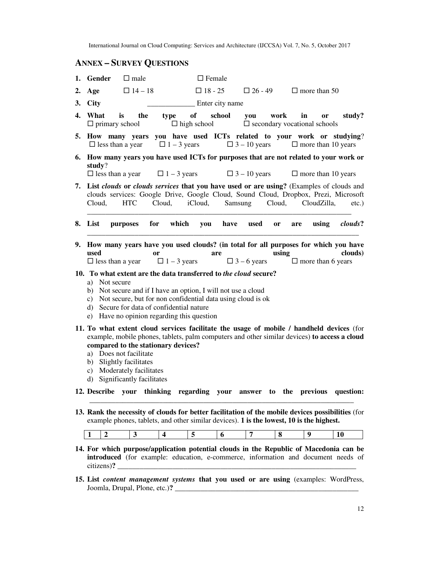## **ANNEX – SURVEY QUESTIONS**

|    | 1. Gender                                                                                                                                                                                                                                                                                                                                         | $\Box$ male    |        | $\Box$ Female            |                   |                     |           |                                                                  |           |
|----|---------------------------------------------------------------------------------------------------------------------------------------------------------------------------------------------------------------------------------------------------------------------------------------------------------------------------------------------------|----------------|--------|--------------------------|-------------------|---------------------|-----------|------------------------------------------------------------------|-----------|
| 2. | Age                                                                                                                                                                                                                                                                                                                                               | $\Box$ 14 – 18 |        | $\Box$ 18 - 25           |                   | $\Box$ 26 - 49      |           | $\Box$ more than 50                                              |           |
|    | 3. City                                                                                                                                                                                                                                                                                                                                           |                |        |                          | _ Enter city name |                     |           |                                                                  |           |
| 4. | What<br>is<br>$\Box$ primary school                                                                                                                                                                                                                                                                                                               | the            | type   | of<br>$\Box$ high school | school            | you                 | work      | in<br><b>or</b><br>$\square$ secondary vocational schools        | study?    |
|    | 5. How many years you have used ICTs related to your work or studying?<br>$\Box$ less than a year                                                                                                                                                                                                                                                 |                |        |                          |                   |                     |           | $\Box$ 1 – 3 years $\Box$ 3 – 10 years $\Box$ more than 10 years |           |
|    | 6. How many years you have used ICTs for purposes that are not related to your work or<br>study?<br>$\Box$ less than a year $\Box$ 1 – 3 years                                                                                                                                                                                                    |                |        |                          |                   | $\Box$ 3 – 10 years |           | $\Box$ more than 10 years                                        |           |
|    | 7. List clouds or clouds services that you have used or are using? (Examples of clouds and<br>clouds services: Google Drive, Google Cloud, Sound Cloud, Dropbox, Prezi, Microsoft<br>Cloud,                                                                                                                                                       | HTC            | Cloud, | iCloud,                  | Samsung           |                     | Cloud,    | CloudZilla,                                                      | $etc.$ )  |
|    | 8. List<br>purposes                                                                                                                                                                                                                                                                                                                               | for            | which  |                          | you have          | used                | or<br>are | using                                                            | clouds?   |
|    | 9. How many years have you used clouds? (in total for all purposes for which you have<br>used<br>$\Box$ less than a year $\Box$ 1 – 3 years                                                                                                                                                                                                       | <b>or</b>      |        |                          | are               |                     | using     | $\Box$ 3 – 6 years $\Box$ more than 6 years                      | clouds)   |
|    | 10. To what extent are the data transferred to the cloud secure?<br>a) Not secure<br>b) Not secure and if I have an option, I will not use a cloud<br>c) Not secure, but for non confidential data using cloud is ok<br>d) Secure for data of confidential nature<br>e) Have no opinion regarding this question                                   |                |        |                          |                   |                     |           |                                                                  |           |
|    | 11. To what extent cloud services facilitate the usage of mobile / handheld devices (for<br>example, mobile phones, tablets, palm computers and other similar devices) to access a cloud<br>compared to the stationary devices?<br>a) Does not facilitate<br>b) Slightly facilitates<br>c) Moderately facilitates<br>d) Significantly facilitates |                |        |                          |                   |                     |           |                                                                  |           |
|    | 12. Describe your thinking regarding your answer to the previous question:                                                                                                                                                                                                                                                                        |                |        |                          |                   |                     |           |                                                                  |           |
|    | 13. Rank the necessity of clouds for better facilitation of the mobile devices possibilities (for<br>example phones, tablets, and other similar devices). 1 is the lowest, 10 is the highest.                                                                                                                                                     |                |        |                          |                   |                     |           |                                                                  |           |
|    | 1<br>2                                                                                                                                                                                                                                                                                                                                            | 3              | 4      | 5                        | 6                 | 7                   | 8         | 9                                                                | <b>10</b> |
|    | 14. For which purpose/application potential clouds in the Republic of Macedonia can be<br>introduced (for example: education, e-commerce, information and document needs of<br>citizens)?                                                                                                                                                         |                |        |                          |                   |                     |           |                                                                  |           |

**15. List** *content management systems* **that you used or are using** (examples: WordPress, Joomla, Drupal, Plone, etc.)**?** \_\_\_\_\_\_\_\_\_\_\_\_\_\_\_\_\_\_\_\_\_\_\_\_\_\_\_\_\_\_\_\_\_\_\_\_\_\_\_\_\_\_\_\_\_\_\_\_\_\_